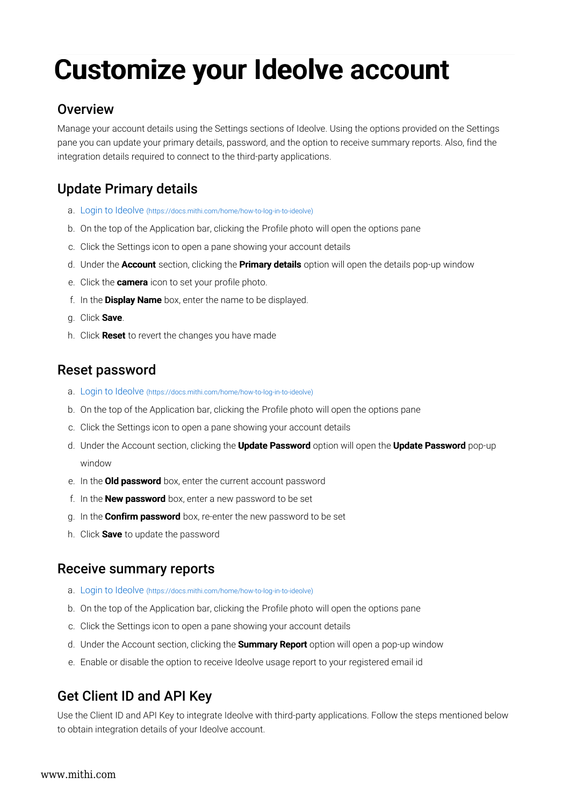# Customize your Ideolve account

### **Overview**

Manage your account details using the Settings sections of Ideolve. Using the options provided on the Settings pane you can update your primary details, password, and the option to receive summary reports. Also, find the integration details required to connect to the third-party applications.

# Update Primary details

- a. Login to Ideolve (https://docs.mithi.com/home/how-to-log-in-to-ideolve)
- b. On the top of the Application bar, clicking the Profile photo will open the options pane
- c. Click the Settings icon to open a pane showing your account details
- d. Under the **Account** section, clicking the **Primary details** option will open the details pop-up window
- e. Click the **camera** icon to set your profile photo.
- f. In the Display Name box, enter the name to be displayed.
- g. Click Save.
- h. Click **Reset** to revert the changes you have made

## Reset password

- a. Login to Ideolve (https://docs.mithi.com/home/how-to-log-in-to-ideolve)
- b. On the top of the Application bar, clicking the Profile photo will open the options pane
- c. Click the Settings icon to open a pane showing your account details
- d. Under the Account section, clicking the **Update Password** option will open the **Update Password** pop-up window
- e. In the **Old password** box, enter the current account password
- f. In the **New password** box, enter a new password to be set
- g. In the **Confirm password** box, re-enter the new password to be set
- h. Click **Save** to update the password

#### Receive summary reports

- a. Login to Ideolve (https://docs.mithi.com/home/how-to-log-in-to-ideolve)
- b. On the top of the Application bar, clicking the Profile photo will open the options pane
- c. Click the Settings icon to open a pane showing your account details
- d. Under the Account section, clicking the **Summary Report** option will open a pop-up window
- e. Enable or disable the option to receive Ideolve usage report to your registered email id

### Get Client ID and API Key

Use the Client ID and API Key to integrate Ideolve with third-party applications. Follow the steps mentioned below to obtain integration details of your Ideolve account.